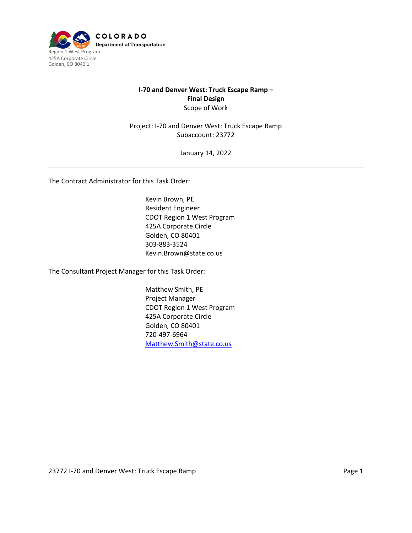

## **I-70 and Denver West: Truck Escape Ramp – Final Design** Scope of Work

Project: I-70 and Denver West: Truck Escape Ramp Subaccount: 23772

January 14, 2022

The Contract Administrator for this Task Order:

Kevin Brown, PE Resident Engineer CDOT Region 1 West Program 425A Corporate Circle Golden, CO 80401 303-883-3524 Kevin.Brown@state.co.us

The Consultant Project Manager for this Task Order:

Matthew Smith, PE Project Manager CDOT Region 1 West Program 425A Corporate Circle Golden, CO 80401 720-497-6964 [Matthew.Smith@state.co.us](mailto:Matthew.Smith@state.co.us)

23772 I-70 and Denver West: Truck Escape Ramp **Page 1** Page 1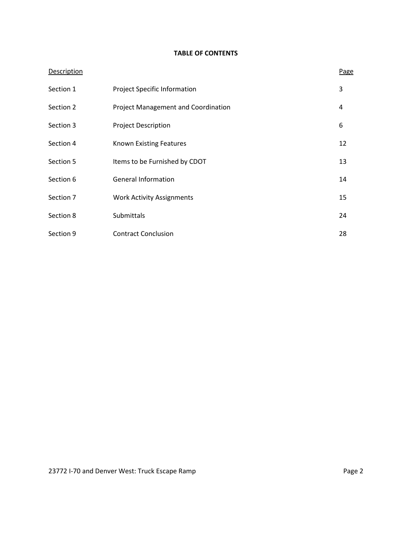# **TABLE OF CONTENTS**

| <b>Description</b> |                                            | <b>Page</b> |
|--------------------|--------------------------------------------|-------------|
| Section 1          | <b>Project Specific Information</b>        | 3           |
| Section 2          | <b>Project Management and Coordination</b> | 4           |
| Section 3          | <b>Project Description</b>                 | 6           |
| Section 4          | <b>Known Existing Features</b>             | 12          |
| Section 5          | Items to be Furnished by CDOT              | 13          |
| Section 6          | <b>General Information</b>                 | 14          |
| Section 7          | <b>Work Activity Assignments</b>           | 15          |
| Section 8          | Submittals                                 | 24          |
| Section 9          | <b>Contract Conclusion</b>                 | 28          |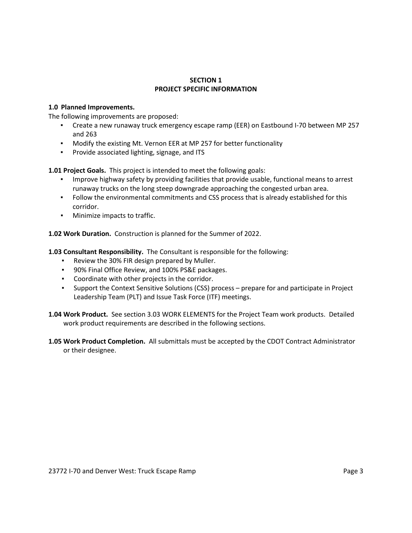#### **SECTION 1 PROJECT SPECIFIC INFORMATION**

## **1.0 Planned Improvements.**

The following improvements are proposed:

- Create a new runaway truck emergency escape ramp (EER) on Eastbound I-70 between MP 257 and 263
- Modify the existing Mt. Vernon EER at MP 257 for better functionality
- **•** Provide associated lighting, signage, and ITS

**1.01 Project Goals.** This project is intended to meet the following goals:

- **Improve highway safety by providing facilities that provide usable, functional means to arrest** runaway trucks on the long steep downgrade approaching the congested urban area.
- Follow the environmental commitments and CSS process that is already established for this corridor.
- Minimize impacts to traffic.

**1.02 Work Duration.** Construction is planned for the Summer of 2022.

**1.03 Consultant Responsibility.** The Consultant is responsible for the following:

- Review the 30% FIR design prepared by Muller.
- 90% Final Office Review, and 100% PS&E packages.
- Coordinate with other projects in the corridor.
- Support the Context Sensitive Solutions (CSS) process prepare for and participate in Project Leadership Team (PLT) and Issue Task Force (ITF) meetings.
- **1.04 Work Product.** See section 3.03 WORK ELEMENTS for the Project Team work products. Detailed work product requirements are described in the following sections.
- **1.05 Work Product Completion.** All submittals must be accepted by the CDOT Contract Administrator or their designee.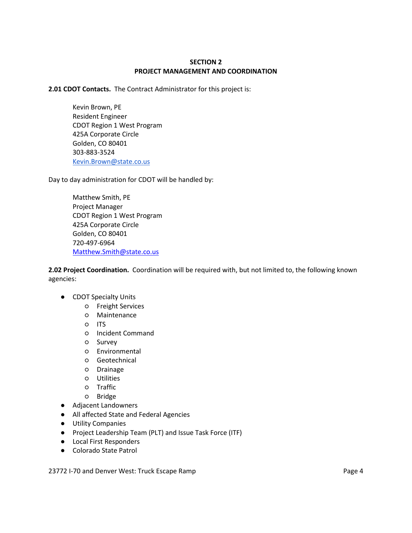## **SECTION 2 PROJECT MANAGEMENT AND COORDINATION**

**2.01 CDOT Contacts.** The Contract Administrator for this project is:

Kevin Brown, PE Resident Engineer CDOT Region 1 West Program 425A Corporate Circle Golden, CO 80401 303-883-3524 [Kevin.Brown@state.co.us](mailto:Kevin.Brown@state.co.us)

Day to day administration for CDOT will be handled by:

Matthew Smith, PE Project Manager CDOT Region 1 West Program 425A Corporate Circle Golden, CO 80401 720-497-6964 [Matthew.Smith@state.co.us](mailto:Matthew.Smith@state.co.us)

**2.02 Project Coordination.** Coordination will be required with, but not limited to, the following known agencies:

- CDOT Specialty Units
	- Freight Services
	- Maintenance
	- ITS
	- Incident Command
	- Survey
	- Environmental
	- Geotechnical
	- Drainage
	- Utilities
	- Traffic
	- Bridge
- Adjacent Landowners
- All affected State and Federal Agencies
- Utility Companies
- Project Leadership Team (PLT) and Issue Task Force (ITF)
- Local First Responders
- Colorado State Patrol

23772 I-70 and Denver West: Truck Escape Ramp **Page 4** Page 4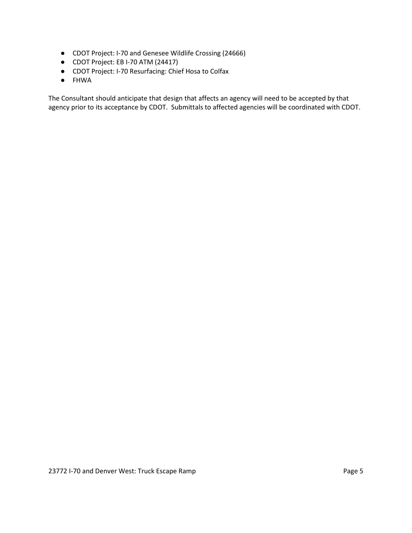- CDOT Project: I-70 and Genesee Wildlife Crossing (24666)
- CDOT Project: EB I-70 ATM (24417)
- CDOT Project: I-70 Resurfacing: Chief Hosa to Colfax
- FHWA

The Consultant should anticipate that design that affects an agency will need to be accepted by that agency prior to its acceptance by CDOT. Submittals to affected agencies will be coordinated with CDOT.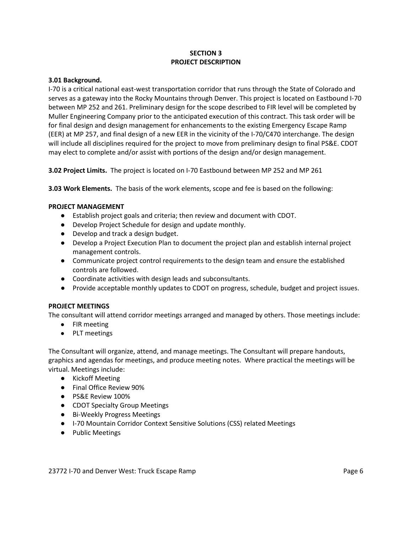## **SECTION 3 PROJECT DESCRIPTION**

#### **3.01 Background.**

I-70 is a critical national east-west transportation corridor that runs through the State of Colorado and serves as a gateway into the Rocky Mountains through Denver. This project is located on Eastbound I-70 between MP 252 and 261. Preliminary design for the scope described to FIR level will be completed by Muller Engineering Company prior to the anticipated execution of this contract. This task order will be for final design and design management for enhancements to the existing Emergency Escape Ramp (EER) at MP 257, and final design of a new EER in the vicinity of the I-70/C470 interchange. The design will include all disciplines required for the project to move from preliminary design to final PS&E. CDOT may elect to complete and/or assist with portions of the design and/or design management.

**3.02 Project Limits.** The project is located on I-70 Eastbound between MP 252 and MP 261

**3.03 Work Elements.** The basis of the work elements, scope and fee is based on the following:

#### **PROJECT MANAGEMENT**

- Establish project goals and criteria; then review and document with CDOT.
- Develop Project Schedule for design and update monthly.
- Develop and track a design budget.
- Develop a Project Execution Plan to document the project plan and establish internal project management controls.
- Communicate project control requirements to the design team and ensure the established controls are followed.
- Coordinate activities with design leads and subconsultants.
- Provide acceptable monthly updates to CDOT on progress, schedule, budget and project issues.

#### **PROJECT MEETINGS**

The consultant will attend corridor meetings arranged and managed by others. Those meetings include:

- FIR meeting
- PLT meetings

The Consultant will organize, attend, and manage meetings. The Consultant will prepare handouts, graphics and agendas for meetings, and produce meeting notes. Where practical the meetings will be virtual. Meetings include:

- Kickoff Meeting
- Final Office Review 90%
- PS&E Review 100%
- CDOT Specialty Group Meetings
- Bi-Weekly Progress Meetings
- I-70 Mountain Corridor Context Sensitive Solutions (CSS) related Meetings
- Public Meetings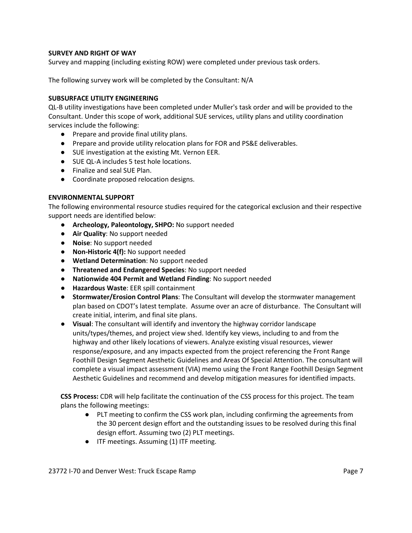#### **SURVEY AND RIGHT OF WAY**

Survey and mapping (including existing ROW) were completed under previous task orders.

The following survey work will be completed by the Consultant: N/A

#### **SUBSURFACE UTILITY ENGINEERING**

QL-B utility investigations have been completed under Muller's task order and will be provided to the Consultant. Under this scope of work, additional SUE services, utility plans and utility coordination services include the following:

- Prepare and provide final utility plans.
- Prepare and provide utility relocation plans for FOR and PS&E deliverables.
- SUE investigation at the existing Mt. Vernon EER.
- SUE QL-A includes 5 test hole locations.
- Finalize and seal SUE Plan.
- Coordinate proposed relocation designs.

### **ENVIRONMENTAL SUPPORT**

The following environmental resource studies required for the categorical exclusion and their respective support needs are identified below:

- **Archeology, Paleontology, SHPO:** No support needed
- **Air Quality**: No support needed
- **Noise**: No support needed
- **Non-Historic 4(f):** No support needed
- **Wetland Determination**: No support needed
- **Threatened and Endangered Species**: No support needed
- **Nationwide 404 Permit and Wetland Finding**: No support needed
- **Hazardous Waste**: EER spill containment
- **Stormwater/Erosion Control Plans**: The Consultant will develop the stormwater management plan based on CDOT's latest template. Assume over an acre of disturbance. The Consultant will create initial, interim, and final site plans.
- **Visual**: The consultant will identify and inventory the highway corridor landscape units/types/themes, and project view shed. Identify key views, including to and from the highway and other likely locations of viewers. Analyze existing visual resources, viewer response/exposure, and any impacts expected from the project referencing the Front Range Foothill Design Segment Aesthetic Guidelines and Areas Of Special Attention. The consultant will complete a visual impact assessment (VIA) memo using the Front Range Foothill Design Segment Aesthetic Guidelines and recommend and develop mitigation measures for identified impacts.

**CSS Process:** CDR will help facilitate the continuation of the CSS process for this project. The team plans the following meetings:

- PLT meeting to confirm the CSS work plan, including confirming the agreements from the 30 percent design effort and the outstanding issues to be resolved during this final design effort. Assuming two (2) PLT meetings.
- ITF meetings. Assuming (1) ITF meeting.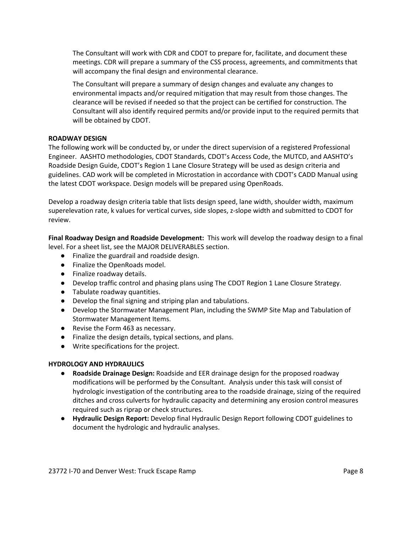The Consultant will work with CDR and CDOT to prepare for, facilitate, and document these meetings. CDR will prepare a summary of the CSS process, agreements, and commitments that will accompany the final design and environmental clearance.

The Consultant will prepare a summary of design changes and evaluate any changes to environmental impacts and/or required mitigation that may result from those changes. The clearance will be revised if needed so that the project can be certified for construction. The Consultant will also identify required permits and/or provide input to the required permits that will be obtained by CDOT.

### **ROADWAY DESIGN**

The following work will be conducted by, or under the direct supervision of a registered Professional Engineer. AASHTO methodologies, CDOT Standards, CDOT's Access Code, the MUTCD, and AASHTO's Roadside Design Guide, CDOT's Region 1 Lane Closure Strategy will be used as design criteria and guidelines. CAD work will be completed in Microstation in accordance with CDOT's CADD Manual using the latest CDOT workspace. Design models will be prepared using OpenRoads.

Develop a roadway design criteria table that lists design speed, lane width, shoulder width, maximum superelevation rate, k values for vertical curves, side slopes, z-slope width and submitted to CDOT for review.

**Final Roadway Design and Roadside Development:** This work will develop the roadway design to a final level. For a sheet list, see the MAJOR DELIVERABLES section.

- Finalize the guardrail and roadside design.
- Finalize the OpenRoads model.
- Finalize roadway details.
- Develop traffic control and phasing plans using The CDOT Region 1 Lane Closure Strategy.
- Tabulate roadway quantities.
- Develop the final signing and striping plan and tabulations.
- Develop the Stormwater Management Plan, including the SWMP Site Map and Tabulation of Stormwater Management Items.
- Revise the Form 463 as necessary.
- Finalize the design details, typical sections, and plans.
- Write specifications for the project.

#### **HYDROLOGY AND HYDRAULICS**

- **Roadside Drainage Design:** Roadside and EER drainage design for the proposed roadway modifications will be performed by the Consultant. Analysis under this task will consist of hydrologic investigation of the contributing area to the roadside drainage, sizing of the required ditches and cross culverts for hydraulic capacity and determining any erosion control measures required such as riprap or check structures.
- **Hydraulic Design Report:** Develop final Hydraulic Design Report following CDOT guidelines to document the hydrologic and hydraulic analyses.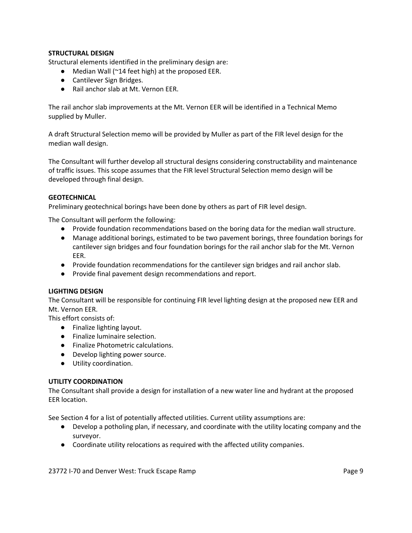## **STRUCTURAL DESIGN**

Structural elements identified in the preliminary design are:

- Median Wall (~14 feet high) at the proposed EER.
- Cantilever Sign Bridges.
- Rail anchor slab at Mt. Vernon EER.

The rail anchor slab improvements at the Mt. Vernon EER will be identified in a Technical Memo supplied by Muller.

A draft Structural Selection memo will be provided by Muller as part of the FIR level design for the median wall design.

The Consultant will further develop all structural designs considering constructability and maintenance of traffic issues. This scope assumes that the FIR level Structural Selection memo design will be developed through final design.

### **GEOTECHNICAL**

Preliminary geotechnical borings have been done by others as part of FIR level design.

The Consultant will perform the following:

- Provide foundation recommendations based on the boring data for the median wall structure.
- Manage additional borings, estimated to be two pavement borings, three foundation borings for cantilever sign bridges and four foundation borings for the rail anchor slab for the Mt. Vernon EER.
- Provide foundation recommendations for the cantilever sign bridges and rail anchor slab.
- Provide final pavement design recommendations and report.

#### **LIGHTING DESIGN**

The Consultant will be responsible for continuing FIR level lighting design at the proposed new EER and Mt. Vernon EER.

This effort consists of:

- Finalize lighting layout.
- Finalize luminaire selection.
- Finalize Photometric calculations.
- Develop lighting power source.
- Utility coordination.

#### **UTILITY COORDINATION**

The Consultant shall provide a design for installation of a new water line and hydrant at the proposed EER location.

See Section 4 for a list of potentially affected utilities. Current utility assumptions are:

- Develop a potholing plan, if necessary, and coordinate with the utility locating company and the surveyor.
- Coordinate utility relocations as required with the affected utility companies.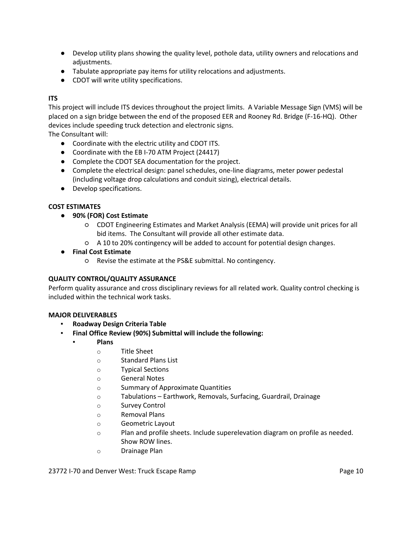- Develop utility plans showing the quality level, pothole data, utility owners and relocations and adjustments.
- Tabulate appropriate pay items for utility relocations and adjustments.
- CDOT will write utility specifications.

## **ITS**

This project will include ITS devices throughout the project limits. A Variable Message Sign (VMS) will be placed on a sign bridge between the end of the proposed EER and Rooney Rd. Bridge (F-16-HQ). Other devices include speeding truck detection and electronic signs.

The Consultant will:

- Coordinate with the electric utility and CDOT ITS.
- Coordinate with the EB I-70 ATM Project (24417)
- Complete the CDOT SEA documentation for the project.
- Complete the electrical design: panel schedules, one-line diagrams, meter power pedestal (including voltage drop calculations and conduit sizing), electrical details.
- Develop specifications.

## **COST ESTIMATES**

## ● **90% (FOR) Cost Estimate**

- CDOT Engineering Estimates and Market Analysis (EEMA) will provide unit prices for all bid items. The Consultant will provide all other estimate data.
- A 10 to 20% contingency will be added to account for potential design changes.

### ● **Final Cost Estimate**

○ Revise the estimate at the PS&E submittal. No contingency.

### **QUALITY CONTROL/QUALITY ASSURANCE**

Perform quality assurance and cross disciplinary reviews for all related work. Quality control checking is included within the technical work tasks.

### **MAJOR DELIVERABLES**

- **▪ Roadway Design Criteria Table**
- **▪ Final Office Review (90%) Submittal will include the following:**
	- **Plans**
		- o Title Sheet
		- o Standard Plans List
		- o Typical Sections
		- o General Notes
		- o Summary of Approximate Quantities
		- o Tabulations Earthwork, Removals, Surfacing, Guardrail, Drainage
		- o Survey Control
		- o Removal Plans
		- o Geometric Layout
		- o Plan and profile sheets. Include superelevation diagram on profile as needed. Show ROW lines.
		- o Drainage Plan

#### 23772 I-70 and Denver West: Truck Escape Ramp Page 10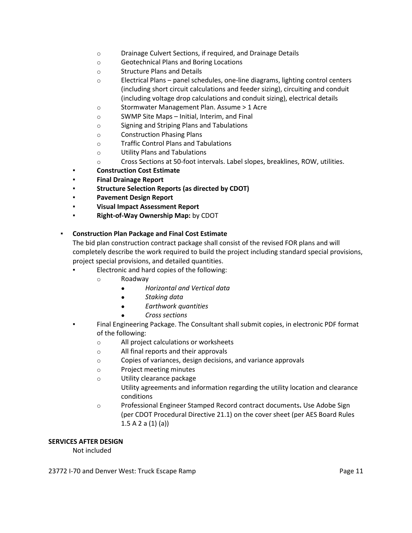- o Drainage Culvert Sections, if required, and Drainage Details
- o Geotechnical Plans and Boring Locations
- o Structure Plans and Details
- o Electrical Plans panel schedules, one-line diagrams, lighting control centers (including short circuit calculations and feeder sizing), circuiting and conduit (including voltage drop calculations and conduit sizing), electrical details
- o Stormwater Management Plan. Assume > 1 Acre
- o SWMP Site Maps Initial, Interim, and Final
- o Signing and Striping Plans and Tabulations
- o Construction Phasing Plans
- o Traffic Control Plans and Tabulations
- o Utility Plans and Tabulations
- o Cross Sections at 50-foot intervals. Label slopes, breaklines, ROW, utilities.
- **Construction Cost Estimate**
- **Final Drainage Report**
- **Structure Selection Reports (as directed by CDOT)**
- **Pavement Design Report**
- **Visual Impact Assessment Report**
- **Right-of-Way Ownership Map: by CDOT**

### **▪ Construction Plan Package and Final Cost Estimate**

The bid plan construction contract package shall consist of the revised FOR plans and will completely describe the work required to build the project including standard special provisions, project special provisions, and detailed quantities.

- Electronic and hard copies of the following:
	- o Roadway
		- *● Horizontal and Vertical data*
			- *● Staking data*
			- *● Earthwork quantities*
			- *● Cross sections*
- Final Engineering Package. The Consultant shall submit copies, in electronic PDF format of the following:
	- o All project calculations or worksheets
	- o All final reports and their approvals
	- o Copies of variances, design decisions, and variance approvals
	- o Project meeting minutes
	- o Utility clearance package
		- Utility agreements and information regarding the utility location and clearance conditions
	- o Professional Engineer Stamped Record contract documents**.** Use Adobe Sign (per CDOT Procedural Directive 21.1) on the cover sheet (per AES Board Rules 1.5 A 2 a (1) (a))

### **SERVICES AFTER DESIGN**

Not included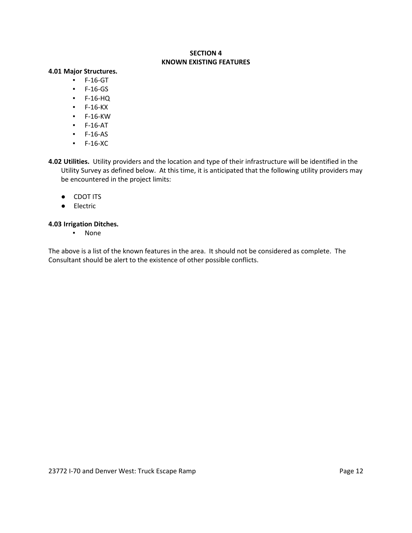#### **SECTION 4 KNOWN EXISTING FEATURES**

#### **4.01 Major Structures.**

- F-16-GT
- F-16-GS
- F-16-HQ
- F-16-KX
- F-16-KW
- F-16-AT
- F-16-AS
- F-16-XC
- **4.02 Utilities.** Utility providers and the location and type of their infrastructure will be identified in the Utility Survey as defined below. At this time, it is anticipated that the following utility providers may be encountered in the project limits:
	- CDOT ITS
	- Electric

### **4.03 Irrigation Ditches.**

▪ None

The above is a list of the known features in the area. It should not be considered as complete. The Consultant should be alert to the existence of other possible conflicts.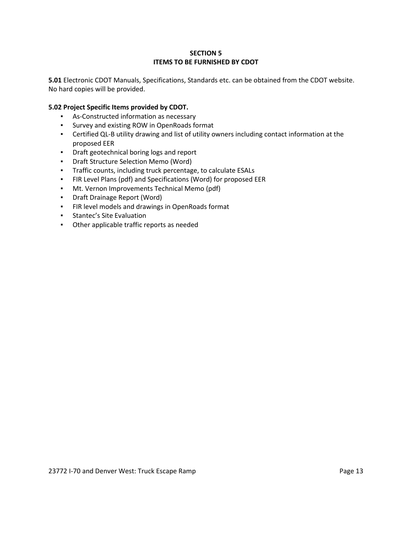## **SECTION 5 ITEMS TO BE FURNISHED BY CDOT**

**5.01** Electronic CDOT Manuals, Specifications, Standards etc. can be obtained from the CDOT website. No hard copies will be provided.

## **5.02 Project Specific Items provided by CDOT.**

- As-Constructed information as necessary
- Survey and existing ROW in OpenRoads format
- Certified QL-B utility drawing and list of utility owners including contact information at the proposed EER
- Draft geotechnical boring logs and report
- Draft Structure Selection Memo (Word)
- Traffic counts, including truck percentage, to calculate ESALs
- FIR Level Plans (pdf) and Specifications (Word) for proposed EER
- Mt. Vernon Improvements Technical Memo (pdf)
- Draft Drainage Report (Word)
- FIR level models and drawings in OpenRoads format
- Stantec's Site Evaluation
- Other applicable traffic reports as needed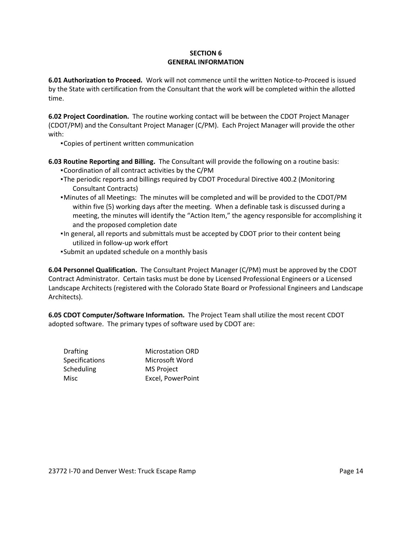## **SECTION 6 GENERAL INFORMATION**

**6.01 Authorization to Proceed.** Work will not commence until the written Notice-to-Proceed is issued by the State with certification from the Consultant that the work will be completed within the allotted time.

**6.02 Project Coordination.** The routine working contact will be between the CDOT Project Manager (CDOT/PM) and the Consultant Project Manager (C/PM). Each Project Manager will provide the other with:

▪Copies of pertinent written communication

**6.03 Routine Reporting and Billing.** The Consultant will provide the following on a routine basis:

- ▪Coordination of all contract activities by the C/PM
- ▪The periodic reports and billings required by CDOT Procedural Directive 400.2 (Monitoring Consultant Contracts)
- ▪Minutes of all Meetings: The minutes will be completed and will be provided to the CDOT/PM within five (5) working days after the meeting. When a definable task is discussed during a meeting, the minutes will identify the "Action Item," the agency responsible for accomplishing it and the proposed completion date
- ▪In general, all reports and submittals must be accepted by CDOT prior to their content being utilized in follow-up work effort
- ▪Submit an updated schedule on a monthly basis

**6.04 Personnel Qualification.** The Consultant Project Manager (C/PM) must be approved by the CDOT Contract Administrator. Certain tasks must be done by Licensed Professional Engineers or a Licensed Landscape Architects (registered with the Colorado State Board or Professional Engineers and Landscape Architects).

**6.05 CDOT Computer/Software Information.** The Project Team shall utilize the most recent CDOT adopted software. The primary types of software used by CDOT are:

| <b>Drafting</b>       | <b>Microstation ORD</b> |
|-----------------------|-------------------------|
| <b>Specifications</b> | Microsoft Word          |
| Scheduling            | <b>MS Project</b>       |
| Misc                  | Excel, PowerPoint       |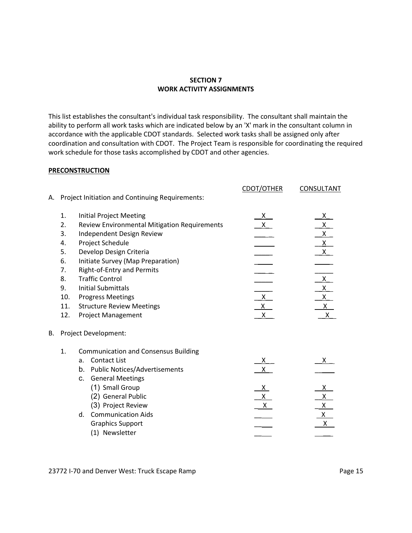#### **SECTION 7 WORK ACTIVITY ASSIGNMENTS**

This list establishes the consultant's individual task responsibility. The consultant shall maintain the ability to perform all work tasks which are indicated below by an 'X' mark in the consultant column in accordance with the applicable CDOT standards. Selected work tasks shall be assigned only after coordination and consultation with CDOT. The Project Team is responsible for coordinating the required work schedule for those tasks accomplished by CDOT and other agencies.

#### **PRECONSTRUCTION**

| А. |                                                                         | Project Initiation and Continuing Requirements:                                                                                                                                                                                                                                                                                                                                   | CDOT/OTHER                                                            | <b>CONSULTANT</b>                                                                                                                                                                                    |
|----|-------------------------------------------------------------------------|-----------------------------------------------------------------------------------------------------------------------------------------------------------------------------------------------------------------------------------------------------------------------------------------------------------------------------------------------------------------------------------|-----------------------------------------------------------------------|------------------------------------------------------------------------------------------------------------------------------------------------------------------------------------------------------|
|    | 1.<br>2.<br>3.<br>4.<br>5.<br>6.<br>7.<br>8.<br>9.<br>10.<br>11.<br>12. | <b>Initial Project Meeting</b><br><b>Review Environmental Mitigation Requirements</b><br>Independent Design Review<br>Project Schedule<br>Develop Design Criteria<br>Initiate Survey (Map Preparation)<br>Right-of-Entry and Permits<br><b>Traffic Control</b><br><b>Initial Submittals</b><br><b>Progress Meetings</b><br><b>Structure Review Meetings</b><br>Project Management | $\frac{x}{x}$<br>$\frac{\mathsf{x}}{\mathsf{y}}$<br>X<br>$\mathsf{X}$ | $\begin{array}{c}\nX \\ X \\ X \\ X \\ X\n\end{array}$<br>$\frac{1}{\sqrt{1-\frac{1}{x}}}\frac{1}{x}$<br>$\begin{array}{c}\n\overline{x} \\ \hline\n\frac{x}{x} \\ \hline\n\frac{x}{x}\n\end{array}$ |
| В. |                                                                         | Project Development:                                                                                                                                                                                                                                                                                                                                                              |                                                                       |                                                                                                                                                                                                      |
|    | 1.                                                                      | <b>Communication and Consensus Building</b><br><b>Contact List</b><br>a.<br><b>Public Notices/Advertisements</b><br>b.<br><b>General Meetings</b><br>C.<br>(1) Small Group<br>(2) General Public<br>(3) Project Review<br><b>Communication Aids</b><br>d.<br><b>Graphics Support</b><br>(1) Newsletter                                                                            | $\frac{x}{x}$<br><u>x_</u><br>$\frac{\chi}{\chi}$                     | $\mathsf{X}$<br><u>X</u><br>$x_{-}$<br>$\begin{array}{c}\n \overline{x} \\  \underline{x} \\  \underline{x} \\  \underline{x}\n \end{array}$                                                         |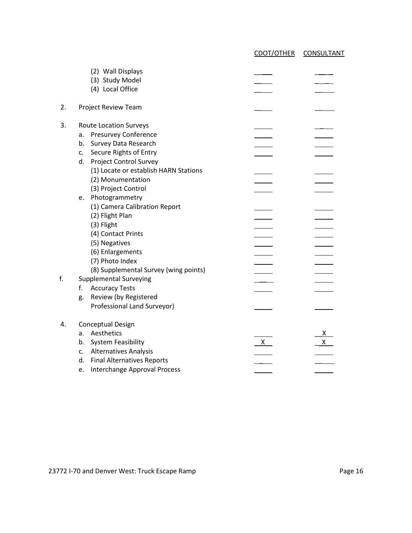CDOT/OTHER CONSULTANT (2) Wall Displays (3) Study Model (4) Local Office 2. Project Review Team 3. Route Location Surveys \_ a. Presurvey Conference b. Survey Data Research  $\overline{\phantom{a}}$ c. Secure Rights of Entry d. Project Control Survey (1) Locate or establish HARN Stations (2) Monumentation (3) Project Control e. Photogrammetry (1) Camera Calibration Report (2) Flight Plan (3) Flight  $\equiv$ (4) Contact Prints (5) Negatives  $\overline{\hspace{1cm}}$ <br>
(6) Enlargements  $\overline{\hspace{1cm}}$ <br>
(7) Photo Index (6) Enlargements (7) Photo Index (8) Supplemental Survey (wing points)  $\overline{\phantom{a}}$ f. Supplemental Surveying f. Accuracy Tests  $\mathcal{L}(\mathcal{L})$ g. Review (by Registered Professional Land Surveyor) 4. Conceptual Design a. Aesthetics  $\frac{X}{X}$  b. System Feasibility b. System Feasibility  $\frac{X}{X}$  c. Alternatives Analysis c. Alternatives Analysis  $\mathbb{R}^n$ d. Final Alternatives Reports e. Interchange Approval Process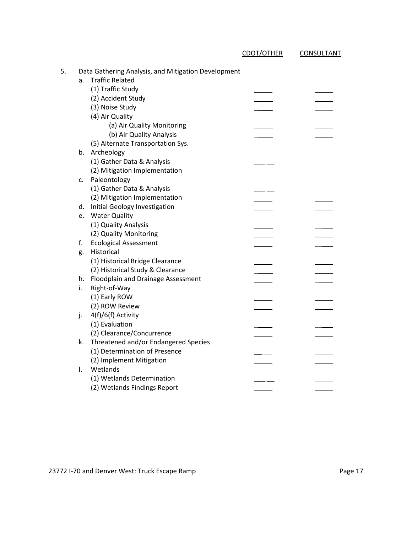| 5. |    | Data Gathering Analysis, and Mitigation Development |  |
|----|----|-----------------------------------------------------|--|
|    | a. | <b>Traffic Related</b>                              |  |
|    |    | (1) Traffic Study                                   |  |
|    |    | (2) Accident Study                                  |  |
|    |    | (3) Noise Study                                     |  |
|    |    | (4) Air Quality                                     |  |
|    |    | (a) Air Quality Monitoring                          |  |
|    |    | (b) Air Quality Analysis                            |  |
|    |    | (5) Alternate Transportation Sys.                   |  |
|    |    | b. Archeology                                       |  |
|    |    | (1) Gather Data & Analysis                          |  |
|    |    | (2) Mitigation Implementation                       |  |
|    |    | c. Paleontology                                     |  |
|    |    | (1) Gather Data & Analysis                          |  |
|    |    | (2) Mitigation Implementation                       |  |
|    |    | d. Initial Geology Investigation                    |  |
|    | e. | <b>Water Quality</b>                                |  |
|    |    | (1) Quality Analysis                                |  |
|    |    | (2) Quality Monitoring                              |  |
|    | f. | <b>Ecological Assessment</b>                        |  |
|    | g. | Historical                                          |  |
|    |    | (1) Historical Bridge Clearance                     |  |
|    |    | (2) Historical Study & Clearance                    |  |
|    |    | h. Floodplain and Drainage Assessment               |  |
|    | i. | Right-of-Way                                        |  |
|    |    | (1) Early ROW                                       |  |
|    |    | (2) ROW Review                                      |  |
|    | j. | 4(f)/6(f) Activity                                  |  |
|    |    |                                                     |  |
|    |    | (1) Evaluation                                      |  |
|    |    | (2) Clearance/Concurrence                           |  |
|    | k. | Threatened and/or Endangered Species                |  |
|    |    | (1) Determination of Presence                       |  |
|    |    | (2) Implement Mitigation                            |  |
|    | I. | Wetlands                                            |  |
|    |    | (1) Wetlands Determination                          |  |
|    |    | (2) Wetlands Findings Report                        |  |

CDOT/OTHER CONSULTANT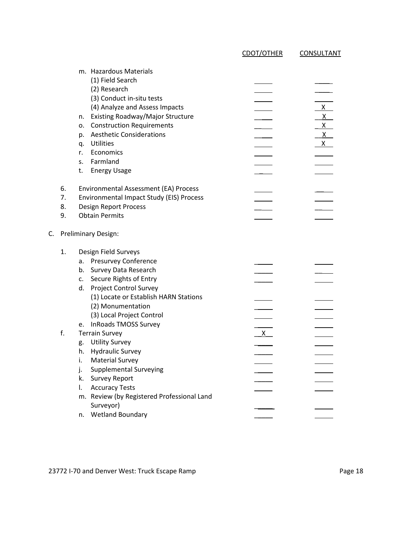|                      |                                                                                                                                                                                                                                                                                                                                                    | <b>CDOT/OTHER</b> | <b>CONSULTANT</b>                                 |
|----------------------|----------------------------------------------------------------------------------------------------------------------------------------------------------------------------------------------------------------------------------------------------------------------------------------------------------------------------------------------------|-------------------|---------------------------------------------------|
|                      | m. Hazardous Materials<br>(1) Field Search<br>(2) Research<br>(3) Conduct in-situ tests<br>(4) Analyze and Assess Impacts<br>Existing Roadway/Major Structure<br>n.<br><b>Construction Requirements</b><br>о.<br><b>Aesthetic Considerations</b><br>p.<br><b>Utilities</b><br>q.<br>Economics<br>r.<br>Farmland<br>S.<br><b>Energy Usage</b><br>t. |                   | $X_{-}$<br>$\mathsf{X}$<br>x<br>$\mathsf{X}$<br>X |
| 6.<br>7.<br>8.<br>9. | Environmental Assessment (EA) Process<br>Environmental Impact Study (EIS) Process<br><b>Design Report Process</b><br><b>Obtain Permits</b>                                                                                                                                                                                                         |                   |                                                   |
|                      | <b>Preliminary Design:</b>                                                                                                                                                                                                                                                                                                                         |                   |                                                   |
| 1.                   | Design Field Surveys<br><b>Presurvey Conference</b><br>a.<br>Survey Data Research<br>b.<br>Secure Rights of Entry<br>c.<br><b>Project Control Survey</b><br>d.<br>(1) Locate or Establish HARN Stations<br>(2) Monumentation<br>(3) Local Project Control                                                                                          |                   |                                                   |
| f.                   | <b>InRoads TMOSS Survey</b><br>е.<br><b>Terrain Survey</b><br><b>Utility Survey</b><br>g.<br>h. Hydraulic Survey<br><b>Material Survey</b><br>i.<br><b>Supplemental Surveying</b><br>j.<br><b>Survey Report</b><br>k.<br><b>Accuracy Tests</b><br>I.<br>m. Review (by Registered Professional Land<br>Surveyor)                                    | $\mathsf{X}$      |                                                   |
|                      | <b>Wetland Boundary</b><br>n.                                                                                                                                                                                                                                                                                                                      |                   |                                                   |

23772 I-70 and Denver West: Truck Escape Ramp **Page 18** Page 18

C.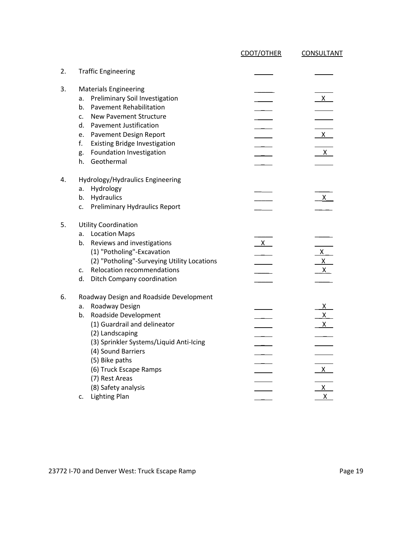|    |                                                                                                                                                                                                                                                                                                                                      | CDOT/OTHER   | CONSULTANT                                   |
|----|--------------------------------------------------------------------------------------------------------------------------------------------------------------------------------------------------------------------------------------------------------------------------------------------------------------------------------------|--------------|----------------------------------------------|
| 2. | <b>Traffic Engineering</b>                                                                                                                                                                                                                                                                                                           |              |                                              |
| 3. | <b>Materials Engineering</b><br>Preliminary Soil Investigation<br>a.<br><b>Pavement Rehabilitation</b><br>b.<br><b>New Pavement Structure</b><br>c.<br><b>Pavement Justification</b><br>d.<br>Pavement Design Report<br>e.<br><b>Existing Bridge Investigation</b><br>f.<br>Foundation Investigation<br>g.<br>Geothermal<br>h.       |              | $\mathsf{X}$<br>$\mathsf{X}$<br>$\mathsf{X}$ |
| 4. | Hydrology/Hydraulics Engineering<br>Hydrology<br>a.<br>Hydraulics<br>b.<br><b>Preliminary Hydraulics Report</b><br>c.                                                                                                                                                                                                                |              | $\mathsf{X}$                                 |
| 5. | <b>Utility Coordination</b><br><b>Location Maps</b><br>a.<br>Reviews and investigations<br>b.<br>(1) "Potholing"-Excavation<br>(2) "Potholing"-Surveying Utility Locations<br><b>Relocation recommendations</b><br>c.<br>d.<br>Ditch Company coordination                                                                            | $\mathsf{X}$ | $\frac{x}{x}$                                |
| 6. | Roadway Design and Roadside Development<br>Roadway Design<br>a.<br>Roadside Development<br>b.<br>(1) Guardrail and delineator<br>(2) Landscaping<br>(3) Sprinkler Systems/Liquid Anti-Icing<br>(4) Sound Barriers<br>(5) Bike paths<br>(6) Truck Escape Ramps<br>(7) Rest Areas<br>(8) Safety analysis<br><b>Lighting Plan</b><br>c. |              | X.<br>$x_{-}$<br>X<br>$\frac{x}{x}$          |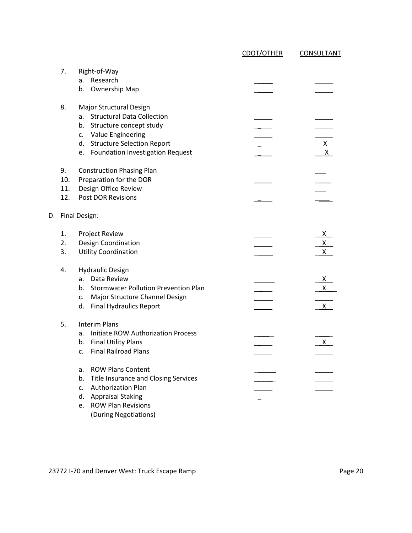|                         |                                                                                                                                                                                                               | CDOT/OTHER | <b>CONSULTANT</b>                             |
|-------------------------|---------------------------------------------------------------------------------------------------------------------------------------------------------------------------------------------------------------|------------|-----------------------------------------------|
| 7.                      | Right-of-Way<br>Research<br>a.<br>Ownership Map<br>b.                                                                                                                                                         |            |                                               |
| 8.                      | Major Structural Design<br><b>Structural Data Collection</b><br>a.<br>b.<br>Structure concept study<br>c. Value Engineering<br>d. Structure Selection Report<br><b>Foundation Investigation Request</b><br>e. |            | $X_{-}$<br>$\mathsf{X}$                       |
| 9.<br>10.<br>11.<br>12. | <b>Construction Phasing Plan</b><br>Preparation for the DOR<br>Design Office Review<br>Post DOR Revisions                                                                                                     |            |                                               |
| D.                      | <b>Final Design:</b>                                                                                                                                                                                          |            |                                               |
| 1.<br>2.<br>3.          | Project Review<br>Design Coordination<br><b>Utility Coordination</b>                                                                                                                                          |            | <u>x_</u><br>$\overline{x}$<br>$\mathsf{X}^-$ |
| 4.                      | <b>Hydraulic Design</b><br>Data Review<br>a.<br><b>Stormwater Pollution Prevention Plan</b><br>b.<br>Major Structure Channel Design<br>c.<br>d.<br><b>Final Hydraulics Report</b>                             |            | X<br>$\mathsf{X}$<br>$\mathsf{X}^-$           |
| 5.                      | <b>Interim Plans</b><br><b>Initiate ROW Authorization Process</b><br>a.<br><b>Final Utility Plans</b><br>b.<br><b>Final Railroad Plans</b><br>c.                                                              |            | $\mathsf{X}^-$                                |
|                         | <b>ROW Plans Content</b><br>a.<br>Title Insurance and Closing Services<br>b.<br><b>Authorization Plan</b><br>c.<br>d.<br><b>Appraisal Staking</b><br><b>ROW Plan Revisions</b><br>e.                          |            |                                               |
|                         | (During Negotiations)                                                                                                                                                                                         |            |                                               |

23772 I-70 and Denver West: Truck Escape Ramp Page 20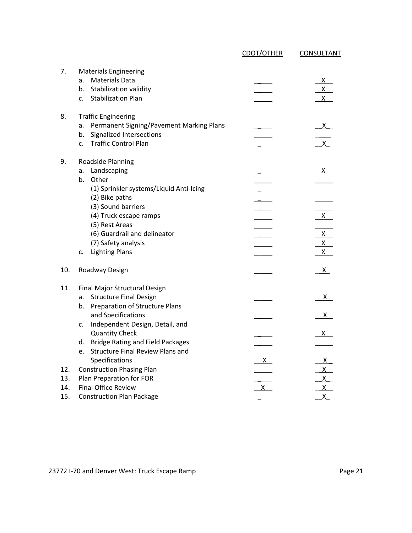|                          |                                                                                                                                                                                                                                                                                                        | CDOT/OTHER               | CONSULTANT                               |
|--------------------------|--------------------------------------------------------------------------------------------------------------------------------------------------------------------------------------------------------------------------------------------------------------------------------------------------------|--------------------------|------------------------------------------|
| 7.                       | <b>Materials Engineering</b><br><b>Materials Data</b><br>a.<br>Stabilization validity<br>b.<br><b>Stabilization Plan</b><br>c.                                                                                                                                                                         |                          | X<br>$\mathsf{X}^-$<br>$\mathsf{X}^-$    |
| 8.                       | <b>Traffic Engineering</b><br>Permanent Signing/Pavement Marking Plans<br>a.<br>Signalized Intersections<br>b.<br><b>Traffic Control Plan</b><br>c.                                                                                                                                                    |                          | $\mathsf{X}$<br>X                        |
| 9.                       | Roadside Planning<br>Landscaping<br>a.<br>Other<br>b.<br>(1) Sprinkler systems/Liquid Anti-Icing<br>(2) Bike paths<br>(3) Sound barriers<br>(4) Truck escape ramps<br>(5) Rest Areas<br>(6) Guardrail and delineator<br>(7) Safety analysis<br><b>Lighting Plans</b><br>c.                             |                          | X<br>X.<br>$X_{-}$<br>$\mathsf{X}$<br>X. |
| 10.                      | Roadway Design                                                                                                                                                                                                                                                                                         |                          | <u>X</u>                                 |
| 11.                      | Final Major Structural Design<br><b>Structure Final Design</b><br>a.<br>Preparation of Structure Plans<br>b.<br>and Specifications<br>Independent Design, Detail, and<br>c.<br><b>Quantity Check</b><br><b>Bridge Rating and Field Packages</b><br>d.<br><b>Structure Final Review Plans and</b><br>e. |                          | X.<br>х.                                 |
| 12.<br>13.<br>14.<br>15. | Specifications<br><b>Construction Phasing Plan</b><br>Plan Preparation for FOR<br><b>Final Office Review</b><br><b>Construction Plan Package</b>                                                                                                                                                       | <u>X</u><br>$\mathsf{X}$ | X.<br>X.<br>X<br>Χ<br>X                  |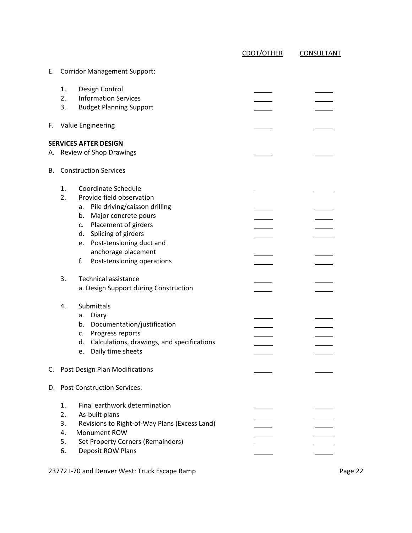|    |                                  |                                                                                                                                                                                   | CDOT/OTHER | <b>CONSULTANT</b> |
|----|----------------------------------|-----------------------------------------------------------------------------------------------------------------------------------------------------------------------------------|------------|-------------------|
|    |                                  | E. Corridor Management Support:                                                                                                                                                   |            |                   |
|    | 1.<br>2.<br>3.                   | Design Control<br><b>Information Services</b><br><b>Budget Planning Support</b>                                                                                                   |            |                   |
|    |                                  | F. Value Engineering                                                                                                                                                              |            |                   |
|    |                                  | <b>SERVICES AFTER DESIGN</b><br>A. Review of Shop Drawings                                                                                                                        |            |                   |
| В. |                                  | <b>Construction Services</b>                                                                                                                                                      |            |                   |
|    | 1.<br>2.                         | Coordinate Schedule<br>Provide field observation                                                                                                                                  |            |                   |
|    |                                  | Pile driving/caisson drilling<br>а.<br>Major concrete pours<br>b.                                                                                                                 |            |                   |
|    |                                  | c. Placement of girders                                                                                                                                                           |            |                   |
|    |                                  | d. Splicing of girders                                                                                                                                                            |            |                   |
|    |                                  | e. Post-tensioning duct and<br>anchorage placement                                                                                                                                |            |                   |
|    |                                  | f.<br>Post-tensioning operations                                                                                                                                                  |            |                   |
|    | 3.                               | <b>Technical assistance</b><br>a. Design Support during Construction                                                                                                              |            |                   |
|    | 4.                               | Submittals                                                                                                                                                                        |            |                   |
|    |                                  | Diary<br>a.                                                                                                                                                                       |            |                   |
|    |                                  | Documentation/justification<br>b.<br>Progress reports<br>c.                                                                                                                       |            |                   |
|    |                                  | d. Calculations, drawings, and specifications                                                                                                                                     |            |                   |
|    |                                  | e. Daily time sheets                                                                                                                                                              |            |                   |
| C. |                                  | Post Design Plan Modifications                                                                                                                                                    |            |                   |
| D. |                                  | <b>Post Construction Services:</b>                                                                                                                                                |            |                   |
|    | 1.<br>2.<br>3.<br>4.<br>5.<br>6. | Final earthwork determination<br>As-built plans<br>Revisions to Right-of-Way Plans (Excess Land)<br>Monument ROW<br><b>Set Property Corners (Remainders)</b><br>Deposit ROW Plans |            |                   |

23772 I-70 and Denver West: Truck Escape Ramp **Page 22** Page 22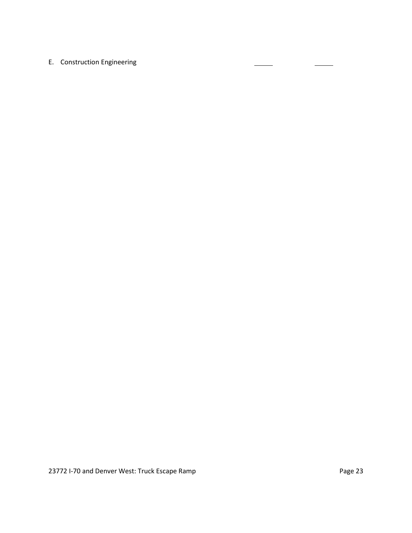# E. Construction Engineering

 $\overline{\phantom{a}}$ 

 $\sim$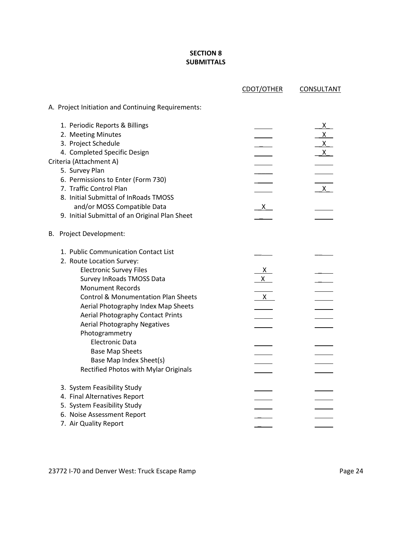## **SECTION 8 SUBMITTALS**

|                                                    | CDOT/OTHER             | <b>CONSULTANT</b> |
|----------------------------------------------------|------------------------|-------------------|
| A. Project Initiation and Continuing Requirements: |                        |                   |
| 1. Periodic Reports & Billings                     |                        | $\mathsf{X}^-$    |
| 2. Meeting Minutes                                 |                        | $\mathsf{X}$      |
| 3. Project Schedule                                |                        | X                 |
| 4. Completed Specific Design                       |                        | X                 |
| Criteria (Attachment A)                            |                        |                   |
| 5. Survey Plan                                     |                        |                   |
| 6. Permissions to Enter (Form 730)                 |                        |                   |
| 7. Traffic Control Plan                            |                        | $\mathsf{X}$      |
| 8. Initial Submittal of InRoads TMOSS              |                        |                   |
| and/or MOSS Compatible Data                        | $X_{-}$                |                   |
| 9. Initial Submittal of an Original Plan Sheet     |                        |                   |
| B. Project Development:                            |                        |                   |
| 1. Public Communication Contact List               |                        |                   |
| 2. Route Location Survey:                          |                        |                   |
| <b>Electronic Survey Files</b>                     | $\frac{\mathsf{X}}{2}$ |                   |
| Survey InRoads TMOSS Data                          | $\mathsf{X}$           |                   |
| <b>Monument Records</b>                            |                        |                   |
| <b>Control &amp; Monumentation Plan Sheets</b>     | $\mathsf{X}$           |                   |
| Aerial Photography Index Map Sheets                |                        |                   |
| Aerial Photography Contact Prints                  |                        |                   |
| <b>Aerial Photography Negatives</b>                |                        |                   |
| Photogrammetry                                     |                        |                   |
| <b>Electronic Data</b>                             |                        |                   |
| <b>Base Map Sheets</b>                             |                        |                   |
| Base Map Index Sheet(s)                            |                        |                   |
| Rectified Photos with Mylar Originals              |                        |                   |
| 3. System Feasibility Study                        |                        |                   |
| 4. Final Alternatives Report                       |                        |                   |
| 5. System Feasibility Study                        |                        |                   |
| 6. Noise Assessment Report                         |                        |                   |
| 7. Air Quality Report                              |                        |                   |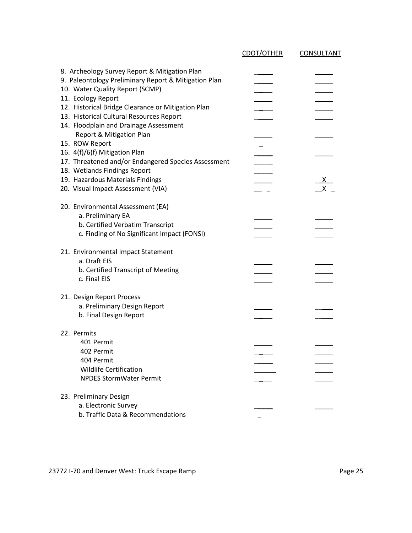|                                                      | CDOT/OTHER | <b>CONSULTANT</b> |
|------------------------------------------------------|------------|-------------------|
| 8. Archeology Survey Report & Mitigation Plan        |            |                   |
| 9. Paleontology Preliminary Report & Mitigation Plan |            |                   |
| 10. Water Quality Report (SCMP)                      |            |                   |
| 11. Ecology Report                                   |            |                   |
| 12. Historical Bridge Clearance or Mitigation Plan   |            |                   |
| 13. Historical Cultural Resources Report             |            |                   |
| 14. Floodplain and Drainage Assessment               |            |                   |
| Report & Mitigation Plan                             |            |                   |
| 15. ROW Report                                       |            |                   |
| 16. 4(f)/6(f) Mitigation Plan                        |            |                   |
| 17. Threatened and/or Endangered Species Assessment  |            |                   |
| 18. Wetlands Findings Report                         |            |                   |
| 19. Hazardous Materials Findings                     |            | $\mathsf{X}$      |
| 20. Visual Impact Assessment (VIA)                   |            | X                 |
| 20. Environmental Assessment (EA)                    |            |                   |
| a. Preliminary EA                                    |            |                   |
| b. Certified Verbatim Transcript                     |            |                   |
| c. Finding of No Significant Impact (FONSI)          |            |                   |
| 21. Environmental Impact Statement                   |            |                   |
| a. Draft EIS                                         |            |                   |
| b. Certified Transcript of Meeting                   |            |                   |
| c. Final EIS                                         |            |                   |
| 21. Design Report Process                            |            |                   |
| a. Preliminary Design Report                         |            |                   |
| b. Final Design Report                               |            |                   |
|                                                      |            |                   |
| 22. Permits                                          |            |                   |
| 401 Permit                                           |            |                   |
| 402 Permit                                           |            |                   |
| 404 Permit<br><b>Wildlife Certification</b>          |            |                   |
| <b>NPDES StormWater Permit</b>                       |            |                   |
|                                                      |            |                   |
| 23. Preliminary Design                               |            |                   |
| a. Electronic Survey                                 |            |                   |
| b. Traffic Data & Recommendations                    |            |                   |

23772 I-70 and Denver West: Truck Escape Ramp **Page 25** Page 25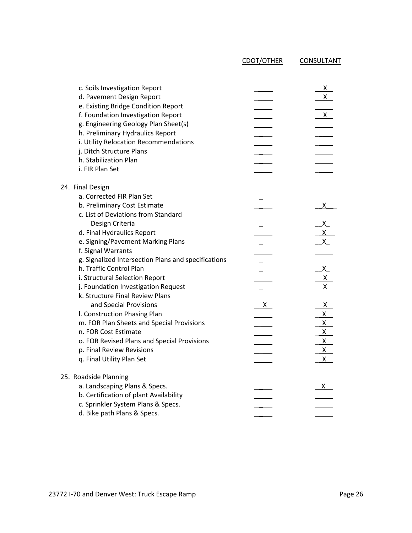CDOT/OTHER CONSULTANT

| c. Soils Investigation Report<br>d. Pavement Design Report<br>e. Existing Bridge Condition Report<br>f. Foundation Investigation Report<br>g. Engineering Geology Plan Sheet(s)<br>h. Preliminary Hydraulics Report<br>i. Utility Relocation Recommendations<br>j. Ditch Structure Plans<br>h. Stabilization Plan<br>i. FIR Plan Set |              | $x_{-}$<br>$\mathsf{X}$<br>$X_{-}$ |
|--------------------------------------------------------------------------------------------------------------------------------------------------------------------------------------------------------------------------------------------------------------------------------------------------------------------------------------|--------------|------------------------------------|
| 24. Final Design                                                                                                                                                                                                                                                                                                                     |              |                                    |
| a. Corrected FIR Plan Set                                                                                                                                                                                                                                                                                                            |              |                                    |
| b. Preliminary Cost Estimate                                                                                                                                                                                                                                                                                                         |              | X                                  |
| c. List of Deviations from Standard                                                                                                                                                                                                                                                                                                  |              |                                    |
| Design Criteria                                                                                                                                                                                                                                                                                                                      |              | $X_{-}$                            |
| d. Final Hydraulics Report                                                                                                                                                                                                                                                                                                           |              | $\mathsf{X}$                       |
| e. Signing/Pavement Marking Plans                                                                                                                                                                                                                                                                                                    |              | $\mathsf{X}$                       |
| f. Signal Warrants                                                                                                                                                                                                                                                                                                                   |              |                                    |
| g. Signalized Intersection Plans and specifications                                                                                                                                                                                                                                                                                  |              |                                    |
| h. Traffic Control Plan                                                                                                                                                                                                                                                                                                              |              | $\frac{x}{x}$                      |
| i. Structural Selection Report                                                                                                                                                                                                                                                                                                       |              | $\mathsf{X}^-$                     |
| j. Foundation Investigation Request<br>k. Structure Final Review Plans                                                                                                                                                                                                                                                               |              |                                    |
| and Special Provisions                                                                                                                                                                                                                                                                                                               | $\mathsf{X}$ | $X_{-}$                            |
| I. Construction Phasing Plan                                                                                                                                                                                                                                                                                                         |              | X                                  |
| m. FOR Plan Sheets and Special Provisions                                                                                                                                                                                                                                                                                            |              | $X_{-}$                            |
| n. FOR Cost Estimate                                                                                                                                                                                                                                                                                                                 |              | $X_{-}$                            |
| o. FOR Revised Plans and Special Provisions                                                                                                                                                                                                                                                                                          |              | $\mathsf{X}^-$                     |
| p. Final Review Revisions                                                                                                                                                                                                                                                                                                            |              | $X_{-}$                            |
| q. Final Utility Plan Set                                                                                                                                                                                                                                                                                                            |              | $\mathsf{X}^-$                     |
| 25. Roadside Planning                                                                                                                                                                                                                                                                                                                |              |                                    |
| a. Landscaping Plans & Specs.                                                                                                                                                                                                                                                                                                        |              | X                                  |
| b. Certification of plant Availability                                                                                                                                                                                                                                                                                               |              |                                    |
| c. Sprinkler System Plans & Specs.                                                                                                                                                                                                                                                                                                   |              |                                    |
| d. Bike path Plans & Specs.                                                                                                                                                                                                                                                                                                          |              |                                    |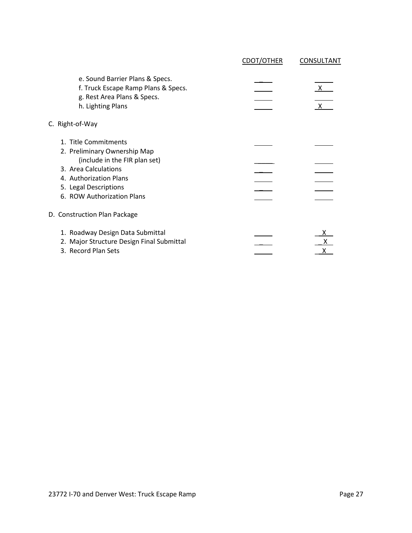|                                                                                                                                         | <b>CDOT/OTHER</b> | CONSULTANT                   |
|-----------------------------------------------------------------------------------------------------------------------------------------|-------------------|------------------------------|
| e. Sound Barrier Plans & Specs.<br>f. Truck Escape Ramp Plans & Specs.<br>g. Rest Area Plans & Specs.<br>h. Lighting Plans              |                   | $\mathsf{X}$<br>$\mathsf{X}$ |
| C. Right-of-Way                                                                                                                         |                   |                              |
| 1. Title Commitments<br>2. Preliminary Ownership Map<br>(include in the FIR plan set)<br>3. Area Calculations<br>4. Authorization Plans |                   |                              |
| 5. Legal Descriptions<br>6. ROW Authorization Plans                                                                                     |                   |                              |
| D. Construction Plan Package                                                                                                            |                   |                              |
| 1. Roadway Design Data Submittal<br>2. Major Structure Design Final Submittal<br>3. Record Plan Sets                                    |                   |                              |